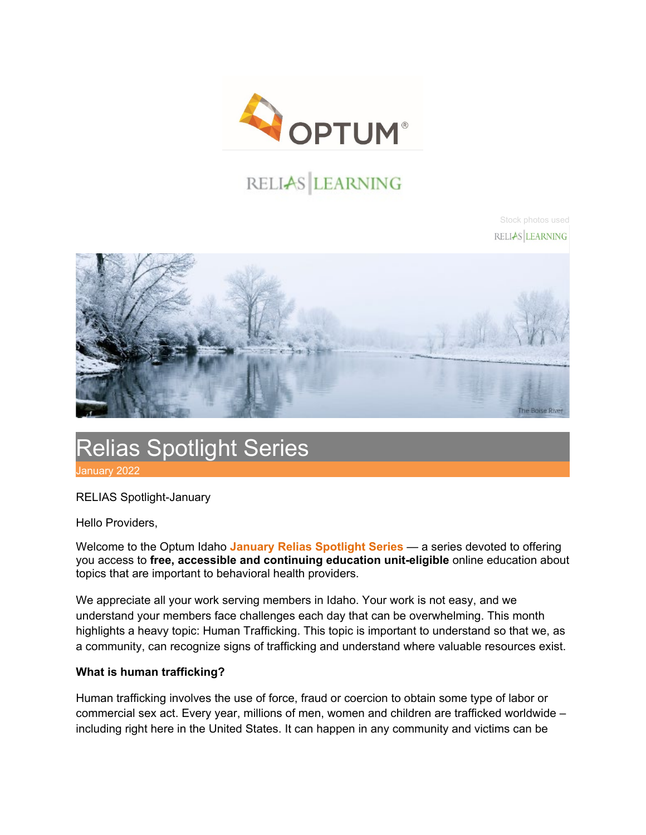

# RELIAS LEARNING

Stock photos used RELIAS LEARNING



# Relias Spotlight Series January 2022

RELIAS Spotlight-January

Hello Providers,

Welcome to the Optum Idaho **January Relias Spotlight Series** — a series devoted to offering you access to **free, accessible and continuing education unit-eligible** online education about topics that are important to behavioral health providers.

We appreciate all your work serving members in Idaho. Your work is not easy, and we understand your members face challenges each day that can be overwhelming. This month highlights a heavy topic: Human Trafficking. This topic is important to understand so that we, as a community, can recognize signs of trafficking and understand where valuable resources exist.

#### **What is human trafficking?**

Human trafficking involves the use of force, fraud or coercion to obtain some type of labor or commercial sex act. Every year, millions of men, women and children are trafficked worldwide – including right here in the United States. It can happen in any community and victims can be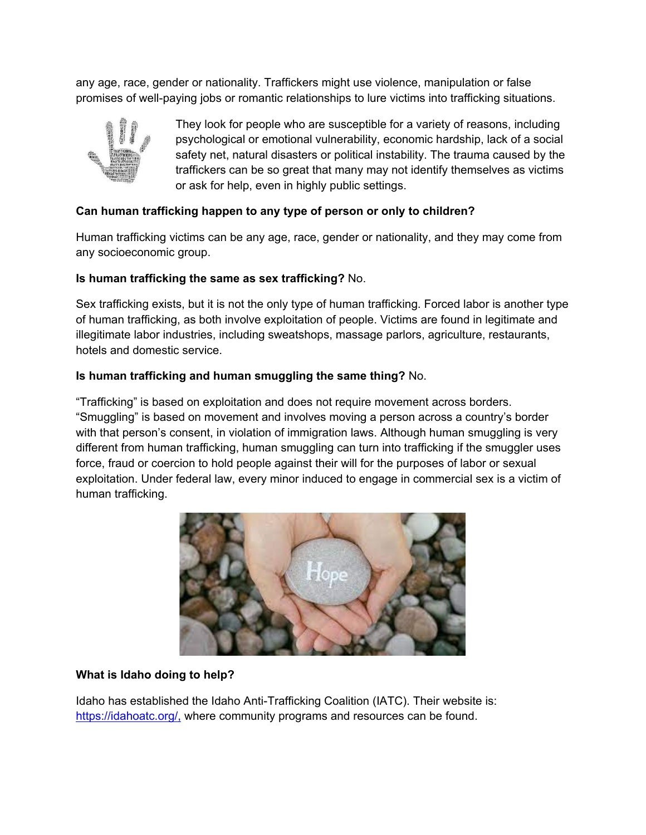any age, race, gender or nationality. Traffickers might use violence, manipulation or false promises of well-paying jobs or romantic relationships to lure victims into trafficking situations.



They look for people who are susceptible for a variety of reasons, including psychological or emotional vulnerability, economic hardship, lack of a social safety net, natural disasters or political instability. The trauma caused by the traffickers can be so great that many may not identify themselves as victims or ask for help, even in highly public settings.

## **Can human trafficking happen to any type of person or only to children?**

Human trafficking victims can be any age, race, gender or nationality, and they may come from any socioeconomic group.

### **Is human trafficking the same as sex trafficking?** No.

Sex trafficking exists, but it is not the only type of human trafficking. Forced labor is another type of human trafficking, as both involve exploitation of people. Victims are found in legitimate and illegitimate labor industries, including sweatshops, massage parlors, agriculture, restaurants, hotels and domestic service.

### **Is human trafficking and human smuggling the same thing?** No.

"Trafficking" is based on exploitation and does not require movement across borders. "Smuggling" is based on movement and involves moving a person across a country's border with that person's consent, in violation of immigration laws. Although human smuggling is very different from human trafficking, human smuggling can turn into trafficking if the smuggler uses force, fraud or coercion to hold people against their will for the purposes of labor or sexual exploitation. Under federal law, every minor induced to engage in commercial sex is a victim of human trafficking.



#### **What is Idaho doing to help?**

Idaho has established the Idaho Anti-Trafficking Coalition (IATC). Their website is: [https://idahoatc.org/,](https://idahoatc.org/) where community programs and resources can be found.